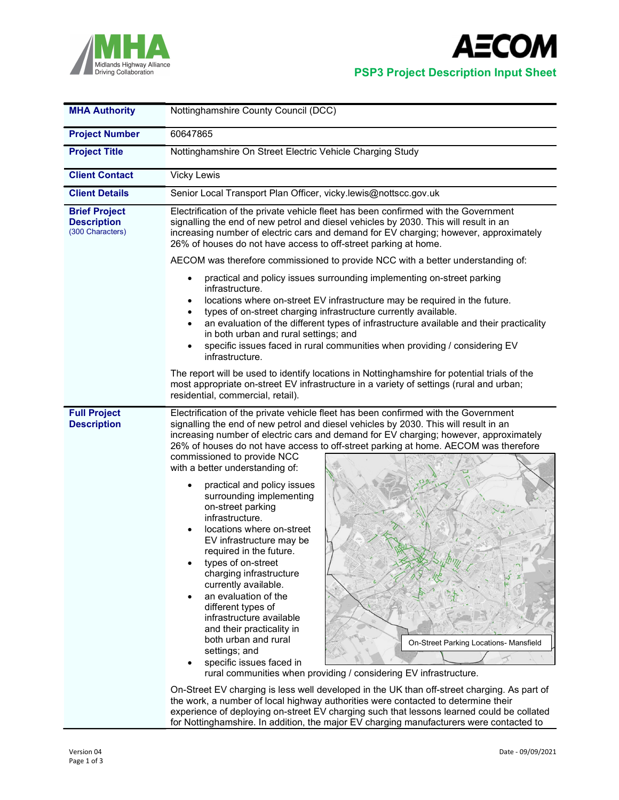



| <b>MHA Authority</b>                                           | Nottinghamshire County Council (DCC)                                                                                                                                                                                                                                                                                                                                                                                                                                                                                                                                                                                                                                                                                                                                                                                                                                                                                                                                                                                                                                                                                                                                         |  |  |  |  |  |
|----------------------------------------------------------------|------------------------------------------------------------------------------------------------------------------------------------------------------------------------------------------------------------------------------------------------------------------------------------------------------------------------------------------------------------------------------------------------------------------------------------------------------------------------------------------------------------------------------------------------------------------------------------------------------------------------------------------------------------------------------------------------------------------------------------------------------------------------------------------------------------------------------------------------------------------------------------------------------------------------------------------------------------------------------------------------------------------------------------------------------------------------------------------------------------------------------------------------------------------------------|--|--|--|--|--|
| <b>Project Number</b>                                          | 60647865                                                                                                                                                                                                                                                                                                                                                                                                                                                                                                                                                                                                                                                                                                                                                                                                                                                                                                                                                                                                                                                                                                                                                                     |  |  |  |  |  |
| <b>Project Title</b>                                           | Nottinghamshire On Street Electric Vehicle Charging Study                                                                                                                                                                                                                                                                                                                                                                                                                                                                                                                                                                                                                                                                                                                                                                                                                                                                                                                                                                                                                                                                                                                    |  |  |  |  |  |
| <b>Client Contact</b>                                          | <b>Vicky Lewis</b>                                                                                                                                                                                                                                                                                                                                                                                                                                                                                                                                                                                                                                                                                                                                                                                                                                                                                                                                                                                                                                                                                                                                                           |  |  |  |  |  |
| <b>Client Details</b>                                          | Senior Local Transport Plan Officer, vicky.lewis@nottscc.gov.uk                                                                                                                                                                                                                                                                                                                                                                                                                                                                                                                                                                                                                                                                                                                                                                                                                                                                                                                                                                                                                                                                                                              |  |  |  |  |  |
| <b>Brief Project</b><br><b>Description</b><br>(300 Characters) | Electrification of the private vehicle fleet has been confirmed with the Government<br>signalling the end of new petrol and diesel vehicles by 2030. This will result in an<br>increasing number of electric cars and demand for EV charging; however, approximately<br>26% of houses do not have access to off-street parking at home.                                                                                                                                                                                                                                                                                                                                                                                                                                                                                                                                                                                                                                                                                                                                                                                                                                      |  |  |  |  |  |
|                                                                | AECOM was therefore commissioned to provide NCC with a better understanding of:                                                                                                                                                                                                                                                                                                                                                                                                                                                                                                                                                                                                                                                                                                                                                                                                                                                                                                                                                                                                                                                                                              |  |  |  |  |  |
|                                                                | practical and policy issues surrounding implementing on-street parking<br>infrastructure.<br>locations where on-street EV infrastructure may be required in the future.<br>types of on-street charging infrastructure currently available.<br>an evaluation of the different types of infrastructure available and their practicality<br>$\bullet$<br>in both urban and rural settings; and<br>specific issues faced in rural communities when providing / considering EV<br>infrastructure.                                                                                                                                                                                                                                                                                                                                                                                                                                                                                                                                                                                                                                                                                 |  |  |  |  |  |
|                                                                | The report will be used to identify locations in Nottinghamshire for potential trials of the<br>most appropriate on-street EV infrastructure in a variety of settings (rural and urban;<br>residential, commercial, retail).                                                                                                                                                                                                                                                                                                                                                                                                                                                                                                                                                                                                                                                                                                                                                                                                                                                                                                                                                 |  |  |  |  |  |
| <b>Full Project</b><br><b>Description</b>                      | Electrification of the private vehicle fleet has been confirmed with the Government<br>signalling the end of new petrol and diesel vehicles by 2030. This will result in an<br>increasing number of electric cars and demand for EV charging; however, approximately<br>26% of houses do not have access to off-street parking at home. AECOM was therefore<br>commissioned to provide NCC<br>with a better understanding of:<br>practical and policy issues<br>surrounding implementing<br>on-street parking<br>infrastructure.<br>locations where on-street<br>EV infrastructure may be<br>required in the future.<br>types of on-street<br>charging infrastructure<br>currently available.<br>an evaluation of the<br>different types of<br>infrastructure available<br>and their practicality in<br>both urban and rural<br>On-Street Parking Locations- Mansfield<br>settings; and<br>specific issues faced in<br>rural communities when providing / considering EV infrastructure.<br>On-Street EV charging is less well developed in the UK than off-street charging. As part of<br>the work, a number of local highway authorities were contacted to determine their |  |  |  |  |  |

experience of deploying on-street EV charging such that lessons learned could be collated for Nottinghamshire. In addition, the major EV charging manufacturers were contacted to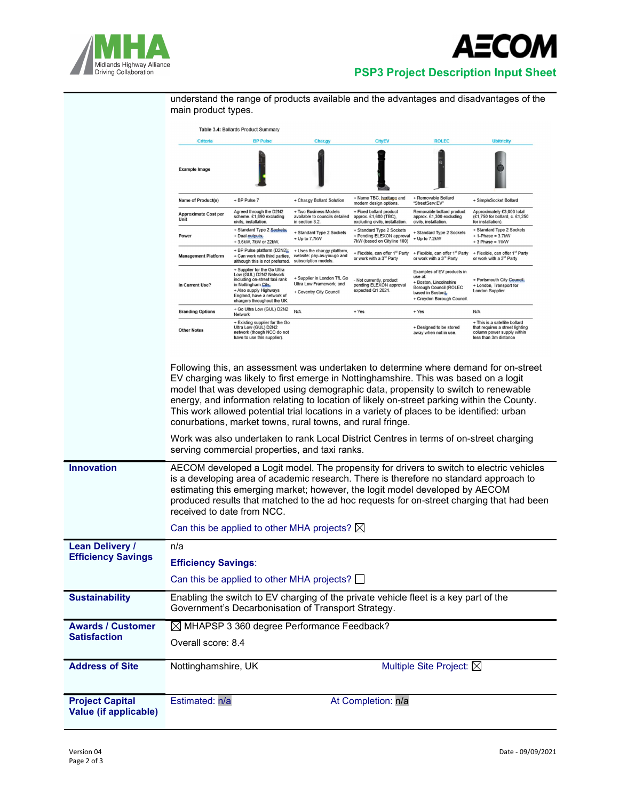



## Midlands Highway Alliance<br>Driving Collaboration<br>Driving Collaboration

understand the range of products available and the advantages and disadvantages of the main product types.

|                                                     | Table 3.4: Bollards Product Summary                                                                                                                                                                                                                                                                                                                                                          |                                                                                                                                                                                                     |                                                                                    |                                                                                       |                                                                                                                                                    |                                                                                                                                                                                       |  |  |
|-----------------------------------------------------|----------------------------------------------------------------------------------------------------------------------------------------------------------------------------------------------------------------------------------------------------------------------------------------------------------------------------------------------------------------------------------------------|-----------------------------------------------------------------------------------------------------------------------------------------------------------------------------------------------------|------------------------------------------------------------------------------------|---------------------------------------------------------------------------------------|----------------------------------------------------------------------------------------------------------------------------------------------------|---------------------------------------------------------------------------------------------------------------------------------------------------------------------------------------|--|--|
|                                                     | Criteria                                                                                                                                                                                                                                                                                                                                                                                     | <b>BP Pulse</b>                                                                                                                                                                                     | Char.gy                                                                            | <b>CityEV</b>                                                                         | <b>ROLEC</b>                                                                                                                                       | <b>Ubitricity</b>                                                                                                                                                                     |  |  |
|                                                     | <b>Example Image</b>                                                                                                                                                                                                                                                                                                                                                                         |                                                                                                                                                                                                     |                                                                                    |                                                                                       |                                                                                                                                                    |                                                                                                                                                                                       |  |  |
|                                                     | Name of Product(s)                                                                                                                                                                                                                                                                                                                                                                           | + BP Pulse 7                                                                                                                                                                                        | + Char.gy Bollard Solution                                                         | + Name TBC, heritage and<br>modern design options.                                    | + Removable Bollard<br>"StreetServ:EV"                                                                                                             | + SimpleSocket Bollard                                                                                                                                                                |  |  |
|                                                     | <b>Approximate Cost per</b><br>Unit                                                                                                                                                                                                                                                                                                                                                          | Agreed through the D2N2<br>scheme, £1,890 excluding<br>civils, installation.                                                                                                                        | + Two Business Models<br>available to councils detailed<br>in section 3.2.         | + Fixed bollard product<br>approx. £1,680 (TBC).<br>excluding civils, installation.   | Removable bollard product<br>approx. £1,300 excluding<br>civils, installation.                                                                     | Approximately £3,000 total<br>(£1,750 for bollard, c. £1,250<br>for installation).                                                                                                    |  |  |
|                                                     | Power                                                                                                                                                                                                                                                                                                                                                                                        | + Standard Type 2 Sockets;<br>+ Dual outputs;<br>+ 3.6kW, 7kW or 22kW.                                                                                                                              | + Standard Type 2 Sockets<br>+ Up to 7.7kW                                         | + Standard Type 2 Sockets<br>+ Pending ELEXON approval<br>7kW (based on Cityline 100) | + Standard Type 2 Sockets<br>+ Up to 7.2kW                                                                                                         | + Standard Type 2 Sockets<br>$+ 1$ -Phase = 3.7kW<br>$+3$ Phase = 11kW                                                                                                                |  |  |
|                                                     | <b>Management Platform</b>                                                                                                                                                                                                                                                                                                                                                                   | + BP Pulse platform (D2N2);<br>+ Can work with third parties,<br>although this is not preferred.                                                                                                    | + Uses the char.gy platform,<br>website: pay-as-you-go and<br>subscription models. | + Flexible, can offer 1st Party<br>or work with a 3 <sup>rd</sup> Party               | + Flexible, can offer 1 <sup>st</sup> Party<br>or work with a 3 <sup>rd</sup> Party                                                                | + Flexible, can offer 1st Party<br>or work with a 3 <sup>rd</sup> Party                                                                                                               |  |  |
|                                                     | In Current Use?                                                                                                                                                                                                                                                                                                                                                                              | + Supplier for the Go Ultra<br>Low (GUL) D2N2 Network<br>including on-street taxi rank<br>in Nottingham City;<br>+ Also supply Highways<br>England, have a network of<br>chargers throughout the UK | + Supplier in London TfL Go<br>Ultra Low Framework; and<br>+ Coventry City Council | - Not currently, product<br>pending ELEXON approval<br>expected Q1 2021.              | Examples of EV products in<br>use at<br>+ Boston, Lincolnshire<br><b>Borough Council (ROLEC</b><br>based in Boston);<br>+ Croydon Borough Council. | + Portsmouth City Council;<br>+ London, Transport for<br>London Supplier.                                                                                                             |  |  |
|                                                     | <b>Branding Options</b>                                                                                                                                                                                                                                                                                                                                                                      | + Go Ultra Low (GUL) D2N2<br>Network                                                                                                                                                                | N/A                                                                                | + Yes                                                                                 | + Yes                                                                                                                                              | N/A                                                                                                                                                                                   |  |  |
|                                                     | <b>Other Notes</b>                                                                                                                                                                                                                                                                                                                                                                           | + Existing supplier for the Go<br>Ultra Low (GUL) D2N2<br>network (though NCC do not<br>have to use this supplier).                                                                                 |                                                                                    |                                                                                       | + Designed to be stored<br>away when not in use.                                                                                                   | + This is a satellite bollard<br>that requires a street lighting<br>column power supply within<br>less than 3m distance                                                               |  |  |
|                                                     |                                                                                                                                                                                                                                                                                                                                                                                              | This work allowed potential trial locations in a variety of places to be identified: urban<br>conurbations, market towns, rural towns, and rural fringe.                                            |                                                                                    |                                                                                       |                                                                                                                                                    | energy, and information relating to location of likely on-street parking within the County.<br>Work was also undertaken to rank Local District Centres in terms of on-street charging |  |  |
|                                                     |                                                                                                                                                                                                                                                                                                                                                                                              | serving commercial properties, and taxi ranks.                                                                                                                                                      |                                                                                    |                                                                                       |                                                                                                                                                    |                                                                                                                                                                                       |  |  |
| <b>Innovation</b>                                   | AECOM developed a Logit model. The propensity for drivers to switch to electric vehicles<br>is a developing area of academic research. There is therefore no standard approach to<br>estimating this emerging market; however, the logit model developed by AECOM<br>produced results that matched to the ad hoc requests for on-street charging that had been<br>received to date from NCC. |                                                                                                                                                                                                     |                                                                                    |                                                                                       |                                                                                                                                                    |                                                                                                                                                                                       |  |  |
|                                                     |                                                                                                                                                                                                                                                                                                                                                                                              | Can this be applied to other MHA projects? $\boxtimes$                                                                                                                                              |                                                                                    |                                                                                       |                                                                                                                                                    |                                                                                                                                                                                       |  |  |
| <b>Lean Delivery /</b><br><b>Efficiency Savings</b> | n/a                                                                                                                                                                                                                                                                                                                                                                                          |                                                                                                                                                                                                     |                                                                                    |                                                                                       |                                                                                                                                                    |                                                                                                                                                                                       |  |  |
|                                                     | <b>Efficiency Savings:</b>                                                                                                                                                                                                                                                                                                                                                                   |                                                                                                                                                                                                     |                                                                                    |                                                                                       |                                                                                                                                                    |                                                                                                                                                                                       |  |  |
|                                                     | Can this be applied to other MHA projects?                                                                                                                                                                                                                                                                                                                                                   |                                                                                                                                                                                                     |                                                                                    |                                                                                       |                                                                                                                                                    |                                                                                                                                                                                       |  |  |
| <b>Sustainability</b>                               |                                                                                                                                                                                                                                                                                                                                                                                              | Enabling the switch to EV charging of the private vehicle fleet is a key part of the<br>Government's Decarbonisation of Transport Strategy.                                                         |                                                                                    |                                                                                       |                                                                                                                                                    |                                                                                                                                                                                       |  |  |
| <b>Awards / Customer</b>                            | $\boxtimes$ MHAPSP 3 360 degree Performance Feedback?                                                                                                                                                                                                                                                                                                                                        |                                                                                                                                                                                                     |                                                                                    |                                                                                       |                                                                                                                                                    |                                                                                                                                                                                       |  |  |
| <b>Satisfaction</b>                                 | Overall score: 8.4                                                                                                                                                                                                                                                                                                                                                                           |                                                                                                                                                                                                     |                                                                                    |                                                                                       |                                                                                                                                                    |                                                                                                                                                                                       |  |  |
| <b>Address of Site</b>                              | Nottinghamshire, UK                                                                                                                                                                                                                                                                                                                                                                          |                                                                                                                                                                                                     |                                                                                    |                                                                                       | Multiple Site Project: $\boxtimes$                                                                                                                 |                                                                                                                                                                                       |  |  |
| <b>Project Capital</b><br>Value (if applicable)     | Estimated: n/a                                                                                                                                                                                                                                                                                                                                                                               |                                                                                                                                                                                                     |                                                                                    | At Completion: n/a                                                                    |                                                                                                                                                    |                                                                                                                                                                                       |  |  |